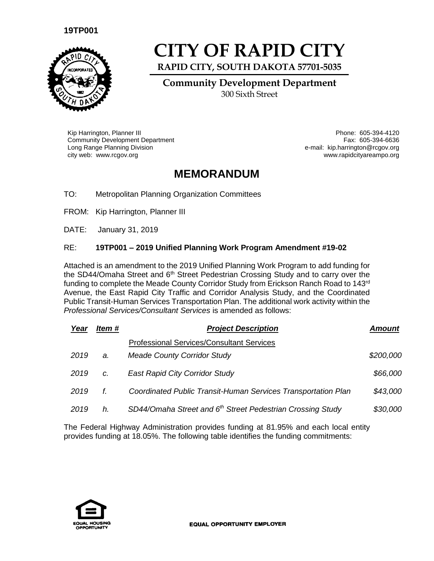## **19TP001**



## **CITY OF RAPID CITY**

**RAPID CITY, SOUTH DAKOTA 57701-5035**

**Community Development Department** 300 Sixth Street

Kip Harrington, Planner III Phone: 605-394-4120 Community Development Department Long Range Planning Division city web: www.rcgov.org www.rapidcityareampo.org

Fax: 605-394-6636 e-mail: kip.harrington@rcgov.org

## **MEMORANDUM**

TO: Metropolitan Planning Organization Committees

FROM: Kip Harrington, Planner III

DATE: January 31, 2019

## RE: **19TP001 – 2019 Unified Planning Work Program Amendment #19-02**

Attached is an amendment to the 2019 Unified Planning Work Program to add funding for the SD44/Omaha Street and 6<sup>th</sup> Street Pedestrian Crossing Study and to carry over the funding to complete the Meade County Corridor Study from Erickson Ranch Road to 143<sup>rd</sup> Avenue, the East Rapid City Traffic and Corridor Analysis Study, and the Coordinated Public Transit-Human Services Transportation Plan. The additional work activity within the **Professional Services/Consultant Services is amended as follows:** 

| Year | Item # | <b>Project Description</b>                                             | Amount    |  |
|------|--------|------------------------------------------------------------------------|-----------|--|
|      |        | <b>Professional Services/Consultant Services</b>                       |           |  |
| 2019 | a.     | <b>Meade County Corridor Study</b>                                     | \$200,000 |  |
| 2019 | C.     | <b>East Rapid City Corridor Study</b>                                  | \$66,000  |  |
| 2019 | f.     | Coordinated Public Transit-Human Services Transportation Plan          | \$43,000  |  |
| 2019 | h.     | SD44/Omaha Street and 6 <sup>th</sup> Street Pedestrian Crossing Study | \$30,000  |  |

The Federal Highway Administration provides funding at 81.95% and each local entity provides funding at 18.05%. The following table identifies the funding commitments: